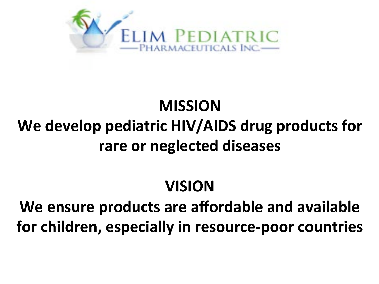

### **MISSION**  We develop pediatric HIV/AIDS drug products for rare or neglected diseases

#### **VISION**

We ensure products are affordable and available for children, especially in resource-poor countries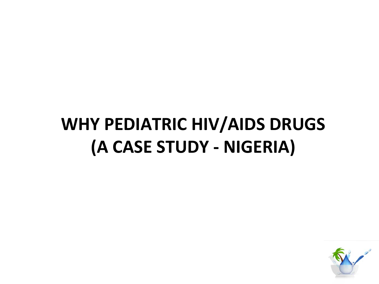## **WHY PEDIATRIC HIV/AIDS DRUGS (A CASE STUDY - NIGERIA)**

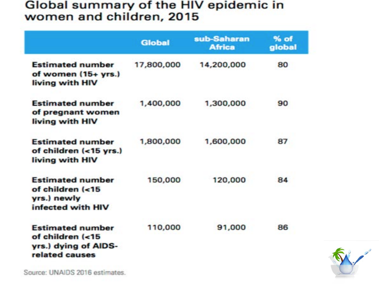#### Global summary of the HIV epidemic in women and children, 2015

|                                                                                       | <b>Global</b> | sub-Saharan<br><b>Africa</b> | % of<br>global |
|---------------------------------------------------------------------------------------|---------------|------------------------------|----------------|
| <b>Estimated number</b><br>of women (15+ yrs.)<br>living with HIV                     | 17,800,000    | 14,200,000                   | 80             |
| <b>Estimated number</b><br>of pregnant women<br>living with HIV                       | 1,400,000     | 1,300,000                    | 90             |
| <b>Estimated number</b><br>of children (<15 yrs.)<br>living with HIV                  | 1,800,000     | 1,600,000                    | 87             |
| <b>Estimated number</b><br>of children (<15<br>yrs.) newly<br>infected with HIV       | 150,000       | 120,000                      | 84             |
| <b>Estimated number</b><br>of children (<15<br>yrs.) dying of AIDS-<br>related causes | 110,000       | 91,000                       | 86             |



Source: UNAIDS 2016 estimates.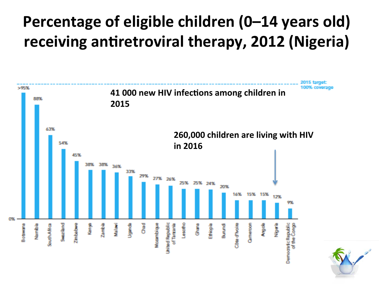### **Percentage of eligible children (0–14 years old)** receiving antiretroviral therapy, 2012 (Nigeria)

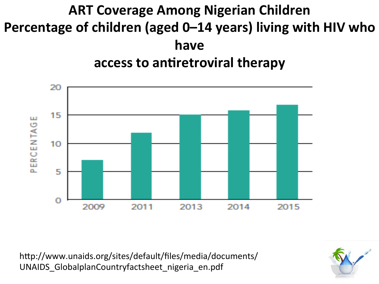#### **ART Coverage Among Nigerian Children** Percentage of children (aged 0-14 years) living with HIV who have access to antiretroviral therapy



http://www.unaids.org/sites/default/files/media/documents/ UNAIDS\_GlobalplanCountryfactsheet\_nigeria\_en.pdf

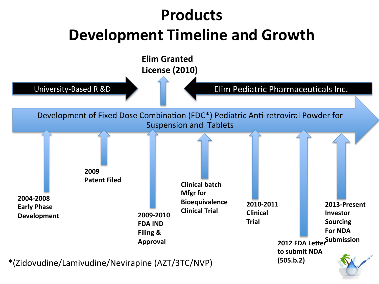### **Products Development Timeline and Growth**

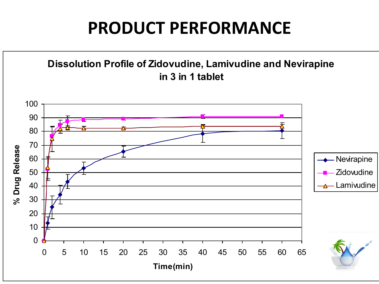### **PRODUCT PERFORMANCE**

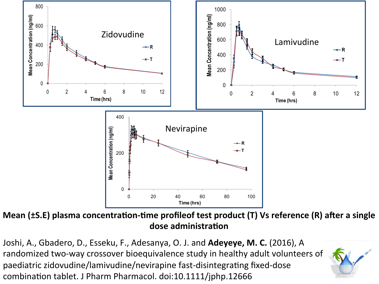

**Mean (±S.E) plasma concentration-time profileof test product (T) Vs reference (R) after a single** dose administration

Joshi, A., Gbadero, D., Esseku, F., Adesanya, O. J. and Adeyeye, M. C. (2016), A randomized two-way crossover bioequivalence study in healthy adult volunteers of paediatric zidovudine/lamivudine/nevirapine fast-disintegrating fixed-dose combination tablet. J Pharm Pharmacol. doi:10.1111/jphp.12666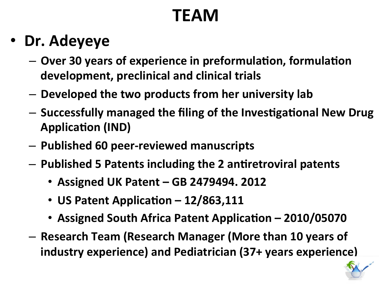### **TEAM**

#### • **Dr. Adeyeye**

- $-$  Over 30 years of experience in preformulation, formulation development, preclinical and clinical trials
- $-$  Developed the two products from her university lab
- $-$  Successfully managed the filing of the Investigational New Drug **Application (IND)**
- $-$  Published 60 peer-reviewed manuscripts
- $-$  Published 5 Patents including the 2 antiretroviral patents
	- **Assigned UK Patent GB 2479494. 2012**
	- US Patent Application 12/863,111
	- Assigned South Africa Patent Application 2010/05070
- $-$  Research Team (Research Manager (More than 10 years of **industry experience) and Pediatrician (37+ years experience)**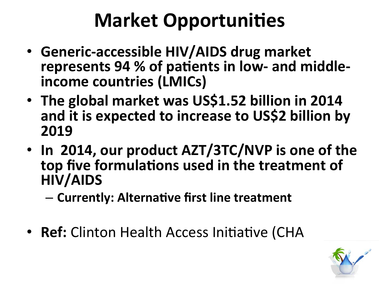# **Market Opportunities**

- Generic-accessible HIV/AIDS drug market represents 94 % of patients in low- and middleincome countries (LMICs)
- The global market was US\$1.52 billion in 2014 and it is expected to increase to US\$2 billion by **2019**
- In 2014, our product AZT/3TC/NVP is one of the top five formulations used in the treatment of **HIV/AIDS**

 $-$  Currently: Alternative first line treatment

• **Ref:** Clinton Health Access Initiative (CHA

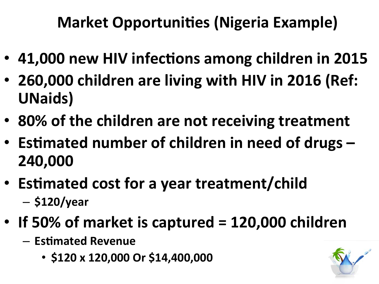### **Market Opportunities (Nigeria Example)**

- 41,000 new HIV infections among children in 2015
- 260,000 children are living with HIV in 2016 (Ref: **UNaids)**
- 80% of the children are not receiving treatment
- Estimated number of children in need of drugs -**240,000**
- Estimated cost for a year treatment/child – **\$120/year**
- If 50% of market is captured = 120,000 children
	- $-$  **Estimated Revenue** 
		- **\$120 x 120,000 Or \$14,400,000**

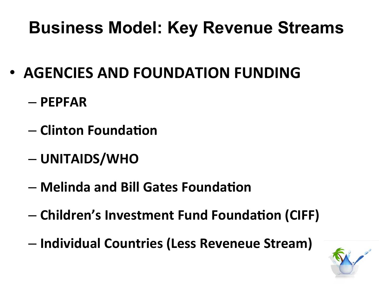### **Business Model: Key Revenue Streams**

- **AGENCIES AND FOUNDATION FUNDING** 
	- **PEPFAR**
	- $-$  Clinton Foundation
	- **UNITAIDS/WHO**
	- $-$  Melinda and Bill Gates Foundation
	- $-$  Children's Investment Fund Foundation (CIFF)
	- **Individual Countries (Less Reveneue Stream)**

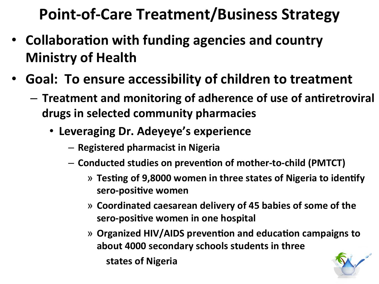#### **Point-of-Care Treatment/Business Strategy**

- Collaboration with funding agencies and country **Ministry of Health**
- Goal: To ensure accessibility of children to treatment
	- $-$  Treatment and monitoring of adherence of use of antiretroviral drugs in selected community pharmacies
		- Leveraging Dr. Adeyeye's experience
			- **Registered pharmacist in Nigeria**
			- $-$  Conducted studies on prevention of mother-to-child (PMTCT)
				- » Testing of 9,8000 women in three states of Nigeria to identify sero-positive women
				- » **Coordinated caesarean delivery of 45 babies of some of the sero-positive women in one hospital**
				- » Organized HIV/AIDS prevention and education campaigns to about 4000 secondary schools students in three **states of Nigeria**

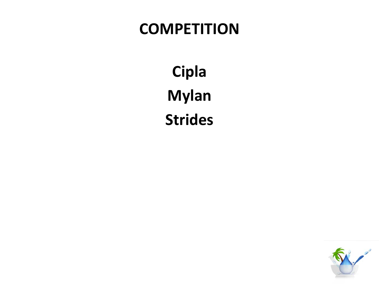#### **COMPETITION**

**Cipla Mylan Strides**